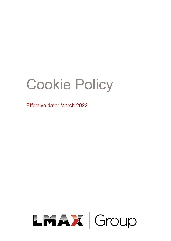# Cookie Policy

Effective date: March 2022

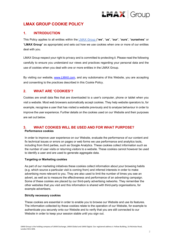

## **LMAX GROUP COOKIE POLICY**

## **1. INTRODUCTION**

This Policy applies to all entities within the LMAX Group ("**we**", "**us**", "**our**", "**ours**", "**ourselves**" or "**LMAX Group**" as appropriate) and sets out how we use cookies when one or more of our entities deal with you.

LMAX Group respect your right to privacy and is committed to protecting it. Please read the following carefully to ensure you understand our views and practices regarding your personal data and the use of cookies when you deal with one or more entities in the LMAX Group.

By visiting our website, [www.LMAX.com,](http://www.lmax.com/) and any subdomains of this Website, you are accepting and consenting to the practices described in this Cookie Policy.

## **2. WHAT ARE 'COOKIES'?**

Cookies are small data files that are downloaded to a user's computer, phone or tablet when you visit a website. Most web browsers automatically accept cookies. They help website operators to, for example, recognise a user that has visited a website previously and to analyse behaviour in order to improve the user experience. Further details on the cookies used on our Website and their purposes are set out below.

## **3. WHAT COOKIES WILL BE USED AND FOR WHAT PURPOSE? Performance cookies**

In order to improve user experience on our Website, evaluate the performance of our content and fix technical issues or errors on pages or web forms we use performance and analytics tools, including from third parties, such as Google Analytics. These cookies collect information such as the number of user visits or returning visitors to a website. These cookies cannot however be used to identify a user and are used to generate aggregate data.

#### **Targeting or Marketing cookies**

As part of our marketing initiatives these cookies collect information about your browsing habits (e.g. which source a particular visit is coming from) and inferred interests in order to make advertising more relevant to you. They are also used to limit the number of times you see an advert, as well as to measure the effectiveness and performance of an advertising campaign. Some of these cookies are placed by our third-party advertising networks. They remember the other websites that you visit and this information is shared with third-party organisations, for example advertisers.

#### **Strictly necessary cookies**

These cookies are essential in order to enable you to browse our Website and use its features. The information collected by these cookies relate to the operation of our Website, for example to authenticate you securely onto our Website and to verify that you are still connected to our Website in order to keep your session stable until you sign out.